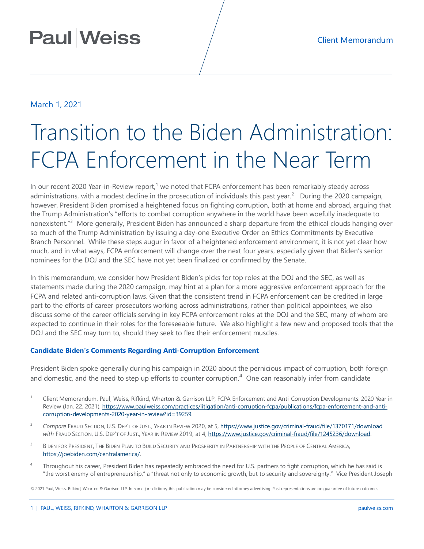## March 1, 2021

# Transition to the Biden Administration: FCPA Enforcement in the Near Term

In our recent 2020 Year-in-Review report,<sup>[1](#page-0-0)</sup> we noted that FCPA enforcement has been remarkably steady across administrations, with a modest decline in the prosecution of individuals this past year.<sup>[2](#page-0-1)</sup> During the 2020 campaign, however, President Biden promised a heightened focus on fighting corruption, both at home and abroad, arguing that the Trump Administration's "efforts to combat corruption anywhere in the world have been woefully inadequate to nonexistent."<sup>[3](#page-0-2)</sup> More generally, President Biden has announced a sharp departure from the ethical clouds hanging over so much of the Trump Administration by issuing a day-one Executive Order on Ethics Commitments by Executive Branch Personnel. While these steps augur in favor of a heightened enforcement environment, it is not yet clear how much, and in what ways, FCPA enforcement will change over the next four years, especially given that Biden's senior nominees for the DOJ and the SEC have not yet been finalized or confirmed by the Senate.

In this memorandum, we consider how President Biden's picks for top roles at the DOJ and the SEC, as well as statements made during the 2020 campaign, may hint at a plan for a more aggressive enforcement approach for the FCPA and related anti-corruption laws. Given that the consistent trend in FCPA enforcement can be credited in large part to the efforts of career prosecutors working across administrations, rather than political appointees, we also discuss some of the career officials serving in key FCPA enforcement roles at the DOJ and the SEC, many of whom are expected to continue in their roles for the foreseeable future. We also highlight a few new and proposed tools that the DOJ and the SEC may turn to, should they seek to flex their enforcement muscles.

### **Candidate Biden's Comments Regarding Anti-Corruption Enforcement**

President Biden spoke generally during his campaign in 2020 about the pernicious impact of corruption, both foreign and domestic, and the need to step up efforts to counter corruption.<sup>[4](#page-0-3)</sup> One can reasonably infer from candidate

- <span id="page-0-2"></span><sup>3</sup> BIDEN FOR PRESIDENT, THE BIDEN PLAN TO BUILD SECURITY AND PROSPERITY IN PARTNERSHIP WITH THE PEOPLE OF CENTRAL AMERICA, [https://joebiden.com/centralamerica/.](https://joebiden.com/centralamerica/)
- <span id="page-0-3"></span><sup>4</sup> Throughout his career, President Biden has repeatedly embraced the need for U.S. partners to fight corruption, which he has said is "the worst enemy of entrepreneurship," a "threat not only to economic growth, but to security and sovereignty." Vice President Joseph

<span id="page-0-0"></span> <sup>1</sup> Client Memorandum, Paul, Weiss, Rifkind, Wharton & Garrison LLP, FCPA Enforcement and Anti-Corruption Developments: 2020 Year in Review (Jan. 22, 2021)[, https://www.paulweiss.com/practices/litigation/anti-corruption-fcpa/publications/fcpa-enforcement-and-anti](https://www.paulweiss.com/practices/litigation/anti-corruption-fcpa/publications/fcpa-enforcement-and-anti-corruption-developments-2020-year-in-review?id=39259)[corruption-developments-2020-year-in-review?id=39259.](https://www.paulweiss.com/practices/litigation/anti-corruption-fcpa/publications/fcpa-enforcement-and-anti-corruption-developments-2020-year-in-review?id=39259) 

<span id="page-0-1"></span><sup>&</sup>lt;sup>2</sup> Compare FRAUD SECTION, U.S. DEP'T OF JUST., YEAR IN REVIEW 2020, at 5[, https://www.justice.gov/criminal-fraud/file/1370171/download](https://www.justice.gov/criminal-fraud/file/1370171/download) *with* FRAUD SECTION, U.S. DEP'T OF JUST., YEAR IN REVIEW 2019, at 4[, https://www.justice.gov/criminal-fraud/file/1245236/download.](https://www.justice.gov/criminal-fraud/file/1245236/download) 

<sup>© 2021</sup> Paul, Weiss, Rifkind, Wharton & Garrison LLP. In some jurisdictions, this publication may be considered attorney advertising. Past representations are no guarantee of future outcomes.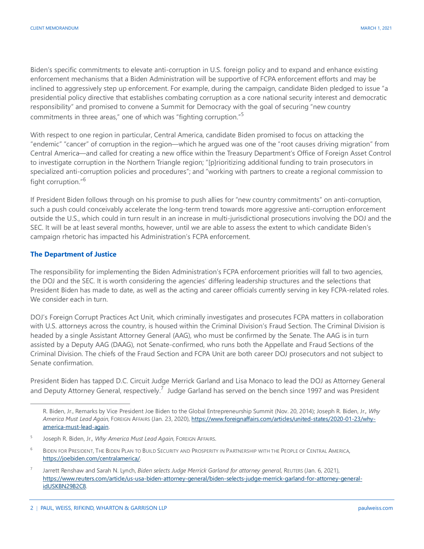Biden's specific commitments to elevate anti-corruption in U.S. foreign policy and to expand and enhance existing enforcement mechanisms that a Biden Administration will be supportive of FCPA enforcement efforts and may be inclined to aggressively step up enforcement. For example, during the campaign, candidate Biden pledged to issue "a presidential policy directive that establishes combating corruption as a core national security interest and democratic responsibility" and promised to convene a Summit for Democracy with the goal of securing "new country commitments in three areas," one of which was "fighting corruption."<sup>[5](#page-1-0)</sup>

With respect to one region in particular, Central America, candidate Biden promised to focus on attacking the "endemic" "cancer" of corruption in the region—which he argued was one of the "root causes driving migration" from Central America—and called for creating a new office within the Treasury Department's Office of Foreign Asset Control to investigate corruption in the Northern Triangle region; "[p]rioritizing additional funding to train prosecutors in specialized anti-corruption policies and procedures"; and "working with partners to create a regional commission to fight corruption." [6](#page-1-1)

If President Biden follows through on his promise to push allies for "new country commitments" on anti-corruption, such a push could conceivably accelerate the long-term trend towards more aggressive anti-corruption enforcement outside the U.S., which could in turn result in an increase in multi-jurisdictional prosecutions involving the DOJ and the SEC. It will be at least several months, however, until we are able to assess the extent to which candidate Biden's campaign rhetoric has impacted his Administration's FCPA enforcement.

#### **The Department of Justice**

 $\overline{a}$ 

The responsibility for implementing the Biden Administration's FCPA enforcement priorities will fall to two agencies, the DOJ and the SEC. It is worth considering the agencies' differing leadership structures and the selections that President Biden has made to date, as well as the acting and career officials currently serving in key FCPA-related roles. We consider each in turn.

DOJ's Foreign Corrupt Practices Act Unit, which criminally investigates and prosecutes FCPA matters in collaboration with U.S. attorneys across the country, is housed within the Criminal Division's Fraud Section. The Criminal Division is headed by a single Assistant Attorney General (AAG), who must be confirmed by the Senate. The AAG is in turn assisted by a Deputy AAG (DAAG), not Senate-confirmed, who runs both the Appellate and Fraud Sections of the Criminal Division. The chiefs of the Fraud Section and FCPA Unit are both career DOJ prosecutors and not subject to Senate confirmation.

President Biden has tapped D.C. Circuit Judge Merrick Garland and Lisa Monaco to lead the DOJ as Attorney General and Deputy Attorney General, respectively.<sup>7</sup> Judge Garland has served on the bench since 1997 and was President

R. Biden, Jr., Remarks by Vice President Joe Biden to the Global Entrepreneurship Summit (Nov. 20, 2014); Joseph R. Biden, Jr.*, Why America Must Lead Again*, FOREIGN AFFAIRS (Jan. 23, 2020)[, https://www.foreignaffairs.com/articles/united-states/2020-01-23/why](https://www.foreignaffairs.com/articles/united-states/2020-01-23/why-america-must-lead-again)[america-must-lead-again.](https://www.foreignaffairs.com/articles/united-states/2020-01-23/why-america-must-lead-again) 

<span id="page-1-0"></span><sup>5</sup> Joseph R. Biden, Jr.*, Why America Must Lead Again*, FOREIGN AFFAIRS.

<span id="page-1-1"></span><sup>&</sup>lt;sup>6</sup> BIDEN FOR PRESIDENT, THE BIDEN PLAN TO BUILD SECURITY AND PROSPERITY IN PARTNERSHIP WITH THE PEOPLE OF CENTRAL AMERICA, [https://joebiden.com/centralamerica/.](https://joebiden.com/centralamerica/)

<span id="page-1-2"></span><sup>7</sup> Jarrett Renshaw and Sarah N. Lynch, *Biden selects Judge Merrick Garland for attorney general*, REUTERS (Jan. 6, 2021), [https://www.reuters.com/article/us-usa-biden-attorney-general/biden-selects-judge-merrick-garland-for-attorney-general](https://www.reuters.com/article/us-usa-biden-attorney-general/biden-selects-judge-merrick-garland-for-attorney-general-idUSKBN29B2C8)[idUSKBN29B2C8.](https://www.reuters.com/article/us-usa-biden-attorney-general/biden-selects-judge-merrick-garland-for-attorney-general-idUSKBN29B2C8)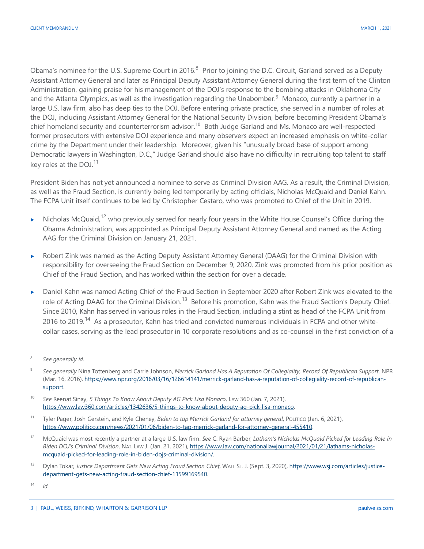Obama's nominee for the U.S. Supreme Court in 2016.<sup>[8](#page-2-0)</sup> Prior to joining the D.C. Circuit, Garland served as a Deputy Assistant Attorney General and later as Principal Deputy Assistant Attorney General during the first term of the Clinton Administration, gaining praise for his management of the DOJ's response to the bombing attacks in Oklahoma City and the Atlanta Olympics, as well as the investigation regarding the Unabomber.<sup>[9](#page-2-1)</sup> Monaco, currently a partner in a large U.S. law firm, also has deep ties to the DOJ. Before entering private practice, she served in a number of roles at the DOJ, including Assistant Attorney General for the National Security Division, before becoming President Obama's chief homeland security and counterterrorism advisor.<sup>[10](#page-2-2)</sup> Both Judge Garland and Ms. Monaco are well-respected former prosecutors with extensive DOJ experience and many observers expect an increased emphasis on white-collar crime by the Department under their leadership. Moreover, given his "unusually broad base of support among Democratic lawyers in Washington, D.C.," Judge Garland should also have no difficulty in recruiting top talent to staff key roles at the DOJ.<sup>[11](#page-2-3)</sup>

President Biden has not yet announced a nominee to serve as Criminal Division AAG. As a result, the Criminal Division, as well as the Fraud Section, is currently being led temporarily by acting officials, Nicholas McQuaid and Daniel Kahn. The FCPA Unit itself continues to be led by Christopher Cestaro, who was promoted to Chief of the Unit in 2019.

- $\blacktriangleright$  Nicholas McQuaid, <sup>[12](#page-2-4)</sup> who previously served for nearly four years in the White House Counsel's Office during the Obama Administration, was appointed as Principal Deputy Assistant Attorney General and named as the Acting AAG for the Criminal Division on January 21, 2021.
- Robert Zink was named as the Acting Deputy Assistant Attorney General (DAAG) for the Criminal Division with responsibility for overseeing the Fraud Section on December 9, 2020. Zink was promoted from his prior position as Chief of the Fraud Section, and has worked within the section for over a decade.
- ▶ Daniel Kahn was named Acting Chief of the Fraud Section in September 2020 after Robert Zink was elevated to the role of Acting DAAG for the Criminal Division.<sup>[13](#page-2-5)</sup> Before his promotion, Kahn was the Fraud Section's Deputy Chief. Since 2010, Kahn has served in various roles in the Fraud Section, including a stint as head of the FCPA Unit from 2016 to 2019.<sup>[14](#page-2-6)</sup> As a prosecutor, Kahn has tried and convicted numerous individuals in FCPA and other whitecollar cases, serving as the lead prosecutor in 10 corporate resolutions and as co-counsel in the first conviction of a

<span id="page-2-0"></span> <sup>8</sup> *See generally id.* 

<span id="page-2-1"></span><sup>9</sup> *See generally* Nina Tottenberg and Carrie Johnson, *Merrick Garland Has A Reputation Of Collegiality, Record Of Republican Support*, NPR (Mar. 16, 2016), [https://www.npr.org/2016/03/16/126614141/merrick-garland-has-a-reputation-of-collegiality-record-of-republican](https://www.npr.org/2016/03/16/126614141/merrick-garland-has-a-reputation-of-collegiality-record-of-republican-support)[support.](https://www.npr.org/2016/03/16/126614141/merrick-garland-has-a-reputation-of-collegiality-record-of-republican-support)

<span id="page-2-2"></span><sup>&</sup>lt;sup>10</sup> See Reenat Sinay, *5 Things To Know About Deputy AG Pick Lisa Monaco*, Law 360 (Jan. 7, 2021), [https://www.law360.com/articles/1342636/5-things-to-know-about-deputy-ag-pick-lisa-monaco.](https://www.law360.com/articles/1342636/5-things-to-know-about-deputy-ag-pick-lisa-monaco)

<span id="page-2-3"></span><sup>11</sup> Tyler Pager, Josh Gerstein, and Kyle Cheney, *Biden to tap Merrick Garland for attorney general*, PoLITICO (Jan. 6, 2021), [https://www.politico.com/news/2021/01/06/biden-to-tap-merrick-garland-for-attorney-general-455410.](https://www.politico.com/news/2021/01/06/biden-to-tap-merrick-garland-for-attorney-general-455410) 

<span id="page-2-4"></span><sup>12</sup> McQuaid was most recently a partner at a large U.S. law firm. *See* C. Ryan Barber, *Latham's Nicholas McQuaid Picked for Leading Role in Biden DOJ's Criminal Division*, NAT. LAW J. (Jan. 21, 2021)[, https://www.law.com/nationallawjournal/2021/01/21/lathams-nicholas](https://www.law.com/nationallawjournal/2021/01/21/lathams-nicholas-mcquaid-picked-for-leading-role-in-biden-dojs-criminal-division/)[mcquaid-picked-for-leading-role-in-biden-dojs-criminal-division/.](https://www.law.com/nationallawjournal/2021/01/21/lathams-nicholas-mcquaid-picked-for-leading-role-in-biden-dojs-criminal-division/)

<span id="page-2-5"></span><sup>13</sup> Dylan Tokar, *Justice Department Gets New Acting Fraud Section Chief*, WALL ST. J. (Sept. 3, 2020), [https://www.wsj.com/articles/justice](https://www.wsj.com/articles/justice-department-gets-new-acting-fraud-section-chief-11599169540)[department-gets-new-acting-fraud-section-chief-11599169540.](https://www.wsj.com/articles/justice-department-gets-new-acting-fraud-section-chief-11599169540) 

<span id="page-2-6"></span> $14$  *Id.*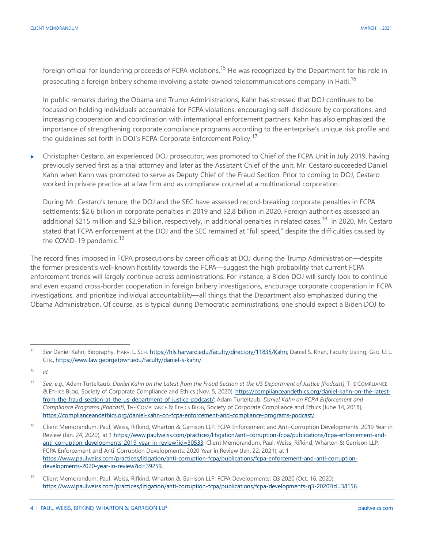foreign official for laundering proceeds of FCPA violations.<sup>15</sup> He was recognized by the Department for his role in prosecuting a foreign bribery scheme involving a state-owned telecommunications company in Haiti.<sup>[16](#page-3-1)</sup>

In public remarks during the Obama and Trump Administrations, Kahn has stressed that DOJ continues to be focused on holding individuals accountable for FCPA violations, encouraging self-disclosure by corporations, and increasing cooperation and coordination with international enforcement partners. Kahn has also emphasized the importance of strengthening corporate compliance programs according to the enterprise's unique risk profile and the guidelines set forth in DOJ's FCPA Corporate Enforcement Policy.<sup>[17](#page-3-2)</sup>

 Christopher Cestaro, an experienced DOJ prosecutor, was promoted to Chief of the FCPA Unit in July 2019, having previously served first as a trial attorney and later as the Assistant Chief of the unit. Mr. Cestaro succeeded Daniel Kahn when Kahn was promoted to serve as Deputy Chief of the Fraud Section. Prior to coming to DOJ, Cestaro worked in private practice at a law firm and as compliance counsel at a multinational corporation.

During Mr. Cestaro's tenure, the DOJ and the SEC have assessed record-breaking corporate penalties in FCPA settlements: \$2.6 billion in corporate penalties in 2019 and \$2.8 billion in 2020. Foreign authorities assessed an additional \$215 million and \$2.9 billion, respectively, in additional penalties in related cases.<sup>[18](#page-3-3)</sup> In 2020, Mr. Cestaro stated that FCPA enforcement at the DOJ and the SEC remained at "full speed," despite the difficulties caused by the COVID-[19](#page-3-4) pandemic.<sup>19</sup>

The record fines imposed in FCPA prosecutions by career officials at DOJ during the Trump Administration—despite the former president's well-known hostility towards the FCPA—suggest the high probability that current FCPA enforcement trends will largely continue across administrations. For instance, a Biden DOJ will surely look to continue and even expand cross-border cooperation in foreign bribery investigations, encourage corporate cooperation in FCPA investigations, and prioritize individual accountability—all things that the Department also emphasized during the Obama Administration. Of course, as is typical during Democratic administrations, one should expect a Biden DOJ to

<span id="page-3-0"></span> <sup>15</sup> *See* Daniel Kahn, Biography, HARV. L. SCH, [https://hls.harvard.edu/faculty/directory/11835/Kahn;](https://hls.harvard.edu/faculty/directory/11835/Kahn) Daniel S. Khan, Faculty Listing, GEO. U. L. CTR., [https://www.law.georgetown.edu/faculty/daniel-s-kahn/.](https://www.law.georgetown.edu/faculty/daniel-s-kahn/) 

<span id="page-3-1"></span> $16$  *Id.* 

<span id="page-3-2"></span><sup>&</sup>lt;sup>17</sup> See, e.g., Adam Turteltaub, Daniel Kahn on the Latest from the Fraud Section at the US Department of Justice [Podcast], THE COMPLIANCE & ETHICS BLOG, Society of Corporate Compliance and Ethics (Nov. 5, 2020), [https://complianceandethics.org/daniel-kahn-on-the-latest](https://complianceandethics.org/daniel-kahn-on-the-latest-from-the-fraud-section-at-the-us-department-of-justice-podcast/)[from-the-fraud-section-at-the-us-department-of-justice-podcast/;](https://complianceandethics.org/daniel-kahn-on-the-latest-from-the-fraud-section-at-the-us-department-of-justice-podcast/) Adam Turteltaub, *Daniel Kahn on FCPA Enforcement and Compliance Programs [Podcast]*, THE COMPLIANCE & ETHICS BLOG, Society of Corporate Compliance and Ethics (June 14, 2018), [https://complianceandethics.org/daniel-kahn-on-fcpa-enforcement-and-compliance-programs-podcast/.](https://complianceandethics.org/daniel-kahn-on-fcpa-enforcement-and-compliance-programs-podcast/)

<span id="page-3-3"></span><sup>18</sup> Client Memorandum, Paul, Weiss, Rifkind, Wharton & Garrison LLP, FCPA Enforcement and Anti-Corruption Developments: 2019 Year in Review (Jan. 24, 2020), at [1 https://www.paulweiss.com/practices/litigation/anti-corruption-fcpa/publications/fcpa-enforcement-and](https://www.paulweiss.com/practices/litigation/anti-corruption-fcpa/publications/fcpa-enforcement-and-anti-corruption-developments-2019-year-in-review?id=30533)[anti-corruption-developments-2019-year-in-review?id=30533;](https://www.paulweiss.com/practices/litigation/anti-corruption-fcpa/publications/fcpa-enforcement-and-anti-corruption-developments-2019-year-in-review?id=30533) Client Memorandum, Paul, Weiss, Rifkind, Wharton & Garrison LLP, FCPA Enforcement and Anti-Corruption Developments: 2020 Year in Review (Jan. 22, 2021), at 1 [https://www.paulweiss.com/practices/litigation/anti-corruption-fcpa/publications/fcpa-enforcement-and-anti-corruption](https://www.paulweiss.com/practices/litigation/anti-corruption-fcpa/publications/fcpa-enforcement-and-anti-corruption-developments-2020-year-in-review?id=39259)[developments-2020-year-in-review?id=39259.](https://www.paulweiss.com/practices/litigation/anti-corruption-fcpa/publications/fcpa-enforcement-and-anti-corruption-developments-2020-year-in-review?id=39259)

<span id="page-3-4"></span><sup>&</sup>lt;sup>19</sup> Client Memorandum, Paul, Weiss, Rifkind, Wharton & Garrison LLP, FCPA Developments: Q3 2020 (Oct. 16, 2020), [https://www.paulweiss.com/practices/litigation/anti-corruption-fcpa/publications/fcpa-developments-q3-2020?id=38156.](https://www.paulweiss.com/practices/litigation/anti-corruption-fcpa/publications/fcpa-developments-q3-2020?id=38156)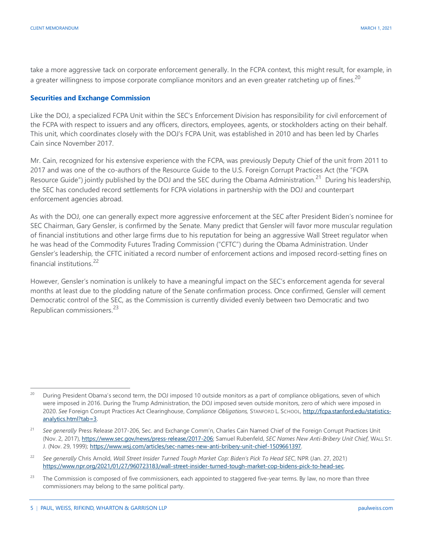take a more aggressive tack on corporate enforcement generally. In the FCPA context, this might result, for example, in a greater willingness to impose corporate compliance monitors and an even greater ratcheting up of fines.<sup>[20](#page-4-0)</sup>

#### **Securities and Exchange Commission**

Like the DOJ, a specialized FCPA Unit within the SEC's Enforcement Division has responsibility for civil enforcement of the FCPA with respect to issuers and any officers, directors, employees, agents, or stockholders acting on their behalf. This unit, which coordinates closely with the DOJ's FCPA Unit, was established in 2010 and has been led by Charles Cain since November 2017.

Mr. Cain, recognized for his extensive experience with the FCPA, was previously Deputy Chief of the unit from 2011 to 2017 and was one of the co-authors of the Resource Guide to the U.S. Foreign Corrupt Practices Act (the "FCPA Resource Guide") jointly published by the DOJ and the SEC during the Obama Administration.<sup>[21](#page-4-1)</sup> During his leadership, the SEC has concluded record settlements for FCPA violations in partnership with the DOJ and counterpart enforcement agencies abroad.

As with the DOJ, one can generally expect more aggressive enforcement at the SEC after President Biden's nominee for SEC Chairman, Gary Gensler, is confirmed by the Senate. Many predict that Gensler will favor more muscular regulation of financial institutions and other large firms due to his reputation for being an aggressive Wall Street regulator when he was head of the Commodity Futures Trading Commission ("CFTC") during the Obama Administration. Under Gensler's leadership, the CFTC initiated a record number of enforcement actions and imposed record-setting fines on financial institutions.[22](#page-4-2) 

However, Gensler's nomination is unlikely to have a meaningful impact on the SEC's enforcement agenda for several months at least due to the plodding nature of the Senate confirmation process. Once confirmed, Gensler will cement Democratic control of the SEC, as the Commission is currently divided evenly between two Democratic and two Republican commissioners.[23](#page-4-3)

<span id="page-4-0"></span><sup>&</sup>lt;sup>20</sup> During President Obama's second term, the DOJ imposed 10 outside monitors as a part of compliance obligations, seven of which were imposed in 2016. During the Trump Administration, the DOJ imposed seven outside monitors, zero of which were imposed in 2020. *See* Foreign Corrupt Practices Act Clearinghouse, *Compliance Obligations,* STANFORD L. SCHOOL, [http://fcpa.stanford.edu/statistics](http://fcpa.stanford.edu/statistics-analytics.html?tab=3)[analytics.html?tab=3.](http://fcpa.stanford.edu/statistics-analytics.html?tab=3) 

<span id="page-4-1"></span><sup>&</sup>lt;sup>21</sup> See generally Press Release 2017-206, Sec. and Exchange Comm'n, Charles Cain Named Chief of the Foreign Corrupt Practices Unit (Nov. 2, 2017)[, https://www.sec.gov/news/press-release/2017-206;](https://www.sec.gov/news/press-release/2017-206) Samuel Rubenfeld, *SEC Names New Anti-Bribery Unit Chief*, WALL ST. J. (Nov. 29, 1999)[; https://www.wsj.com/articles/sec-names-new-anti-bribery-unit-chief-1509661397.](https://www.wsj.com/articles/sec-names-new-anti-bribery-unit-chief-1509661397) 

<span id="page-4-2"></span><sup>22</sup> *See generally* Chris Arnold, *Wall Street Insider Turned Tough Market Cop: Biden's Pick To Head SEC*, NPR (Jan. 27, 2021) [https://www.npr.org/2021/01/27/960723183/wall-street-insider-turned-tough-market-cop-bidens-pick-to-head-sec.](https://www.npr.org/2021/01/27/960723183/wall-street-insider-turned-tough-market-cop-bidens-pick-to-head-sec) 

<span id="page-4-3"></span><sup>&</sup>lt;sup>23</sup> The Commission is composed of five commissioners, each appointed to staggered five-year terms. By law, no more than three commissioners may belong to the same political party.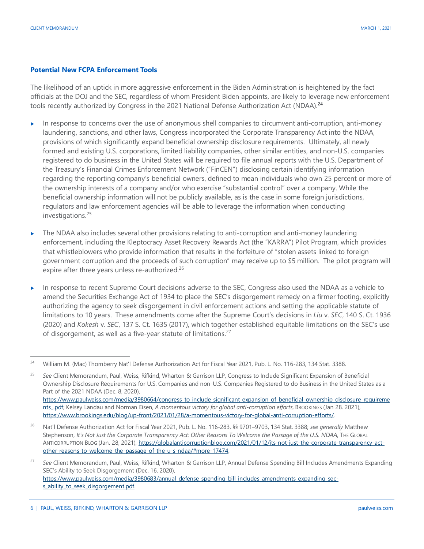#### **Potential New FCPA Enforcement Tools**

The likelihood of an uptick in more aggressive enforcement in the Biden Administration is heightened by the fact officials at the DOJ and the SEC, regardless of whom President Biden appoints, are likely to leverage new enforcement tools recently authorized by Congress in the 2021 National Defense Authorization Act (NDAA).**[24](#page-5-0)**

- In response to concerns over the use of anonymous shell companies to circumvent anti-corruption, anti-money laundering, sanctions, and other laws, Congress incorporated the Corporate Transparency Act into the NDAA, provisions of which significantly expand beneficial ownership disclosure requirements. Ultimately, all newly formed and existing U.S. corporations, limited liability companies, other similar entities, and non-U.S. companies registered to do business in the United States will be required to file annual reports with the U.S. Department of the Treasury's Financial Crimes Enforcement Network ("FinCEN") disclosing certain identifying information regarding the reporting company's beneficial owners, defined to mean individuals who own 25 percent or more of the ownership interests of a company and/or who exercise "substantial control" over a company. While the beneficial ownership information will not be publicly available, as is the case in some foreign jurisdictions, regulators and law enforcement agencies will be able to leverage the information when conducting investigations.[25](#page-5-1)
- The NDAA also includes several other provisions relating to anti-corruption and anti-money laundering enforcement, including the Kleptocracy Asset Recovery Rewards Act (the "KARRA") Pilot Program, which provides that whistleblowers who provide information that results in the forfeiture of "stolen assets linked to foreign government corruption and the proceeds of such corruption" may receive up to \$5 million. The pilot program will expire after three years unless re-authorized.<sup>26</sup>
- In response to recent Supreme Court decisions adverse to the SEC, Congress also used the NDAA as a vehicle to amend the Securities Exchange Act of 1934 to place the SEC's disgorgement remedy on a firmer footing, explicitly authorizing the agency to seek disgorgement in civil enforcement actions and setting the applicable statute of limitations to 10 years. These amendments come after the Supreme Court's decisions in *Liu* v. *SEC*, 140 S. Ct. 1936 (2020) and *Kokesh* v. *SEC*, 137 S. Ct. 1635 (2017), which together established equitable limitations on the SEC's use of disgorgement, as well as a five-year statute of limitations.[27](#page-5-3)

<span id="page-5-0"></span><sup>&</sup>lt;sup>24</sup> William M. (Mac) Thomberry Nat'l Defense Authorization Act for Fiscal Year 2021, Pub. L. No. 116-283, 134 Stat. 3388.

<span id="page-5-1"></span><sup>25</sup> *See* Client Memorandum, Paul, Weiss, Rifkind, Wharton & Garrison LLP, Congress to Include Significant Expansion of Beneficial Ownership Disclosure Requirements for U.S. Companies and non-U.S. Companies Registered to do Business in the United States as a Part of the 2021 NDAA (Dec. 8, 2020), [https://www.paulweiss.com/media/3980664/congress\\_to\\_include\\_significant\\_expansion\\_of\\_beneficial\\_ownership\\_disclosure\\_requireme](https://www.paulweiss.com/media/3980664/congress_to_include_significant_expansion_of_beneficial_ownership_disclosure_requirements_.pdf) [nts\\_.pdf;](https://www.paulweiss.com/media/3980664/congress_to_include_significant_expansion_of_beneficial_ownership_disclosure_requirements_.pdf) Kelsey Landau and Norman Eisen, *A momentous victory for global anti-corruption efforts*, BROOKINGS (Jan 28. 2021), [https://www.brookings.edu/blog/up-front/2021/01/28/a-momentous-victory-for-global-anti-corruption-efforts/.](https://www.brookings.edu/blog/up-front/2021/01/28/a-momentous-victory-for-global-anti-corruption-efforts/) 

<span id="page-5-2"></span><sup>26</sup> Nat'l Defense Authorization Act for Fiscal Year 2021, Pub. L. No. 116-283, §§ 9701–9703, 134 Stat. 3388; *see generally* Matthew Stephenson, It's Not Just the Corporate Transparency Act: Other Reasons To Welcome the Passage of the U.S. NDAA, THE GLOBAL ANTICORRUPTION BLOG (Jan. 28, 2021), [https://globalanticorruptionblog.com/2021/01/12/its-not-just-the-corporate-transparency-act](https://globalanticorruptionblog.com/2021/01/12/its-not-just-the-corporate-transparency-act-other-reasons-to-welcome-the-passage-of-the-u-s-ndaa/#more-17474)[other-reasons-to-welcome-the-passage-of-the-u-s-ndaa/#more-17474.](https://globalanticorruptionblog.com/2021/01/12/its-not-just-the-corporate-transparency-act-other-reasons-to-welcome-the-passage-of-the-u-s-ndaa/#more-17474) 

<span id="page-5-3"></span><sup>27</sup> *See* Client Memorandum, Paul, Weiss, Rifkind, Wharton & Garrison LLP, Annual Defense Spending Bill Includes Amendments Expanding SEC's Ability to Seek Disgorgement (Dec. 16, 2020), [https://www.paulweiss.com/media/3980683/annual\\_defense\\_spending\\_bill\\_includes\\_amendments\\_expanding\\_sec](https://www.paulweiss.com/media/3980683/annual_defense_spending_bill_includes_amendments_expanding_sec-s_ability_to_seek_disgorgement.pdf)s\_ability\_to\_seek\_disgorgement.pdf.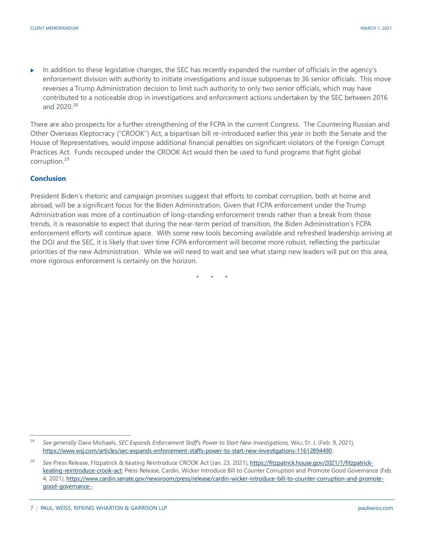In addition to these legislative changes, the SEC has recently expanded the number of officials in the agency's enforcement division with authority to initiate investigations and issue subpoenas to 36 senior officials. This move reverses a Trump Administration decision to limit such authority to only two senior officials, which may have contributed to a noticeable drop in investigations and enforcement actions undertaken by the SEC between 2016 and 2020.[28](#page-6-0)

There are also prospects for a further strengthening of the FCPA in the current Congress. The Countering Russian and Other Overseas Kleptocracy ("CROOK") Act, a bipartisan bill re-introduced earlier this year in both the Senate and the House of Representatives, would impose additional financial penalties on significant violators of the Foreign Corrupt Practices Act. Funds recouped under the CROOK Act would then be used to fund programs that fight global corruption.[29](#page-6-1)

#### **Conclusion**

President Biden's rhetoric and campaign promises suggest that efforts to combat corruption, both at home and abroad, will be a significant focus for the Biden Administration. Given that FCPA enforcement under the Trump Administration was more of a continuation of long-standing enforcement trends rather than a break from those trends, it is reasonable to expect that during the near-term period of transition, the Biden Administration's FCPA enforcement efforts will continue apace. With some new tools becoming available and refreshed leadership arriving at the DOJ and the SEC, it is likely that over time FCPA enforcement will become more robust, reflecting the particular priorities of the new Administration. While we will need to wait and see what stamp new leaders will put on this area, more rigorous enforcement is certainly on the horizon.

\* \* \*

<span id="page-6-0"></span> <sup>28</sup> *See generally* Dave Michaels, *SEC Expands Enforcement Staff's Power to Start New Investigations*, WALL ST. J. (Feb. 9, 2021), [https://www.wsj.com/articles/sec-expands-enforcement-staffs-power-to-start-new-investigations-11612894490.](https://www.wsj.com/articles/sec-expands-enforcement-staffs-power-to-start-new-investigations-11612894490)

<span id="page-6-1"></span><sup>29</sup> *See* Press Release, Fitzpatrick & Keating Reintroduce CROOK Act (Jan. 23, 2021)[, https://fitzpatrick.house.gov/2021/1/fitzpatrick](https://fitzpatrick.house.gov/2021/1/fitzpatrick-keating-reintroduce-crook-act)[keating-reintroduce-crook-act;](https://fitzpatrick.house.gov/2021/1/fitzpatrick-keating-reintroduce-crook-act) Press Release, Cardin, Wicker Introduce Bill to Counter Corruption and Promote Good Governance (Feb. 4, 2021)[, https://www.cardin.senate.gov/newsroom/press/release/cardin-wicker-introduce-bill-to-counter-corruption-and-promote](https://www.cardin.senate.gov/newsroom/press/release/cardin-wicker-introduce-bill-to-counter-corruption-and-promote-good-governance-)[good-governance-.](https://www.cardin.senate.gov/newsroom/press/release/cardin-wicker-introduce-bill-to-counter-corruption-and-promote-good-governance-) 

<sup>7</sup> | PAUL, WEISS, RIFKIND, WHARTON & GARRISON LLP paulweiss.com